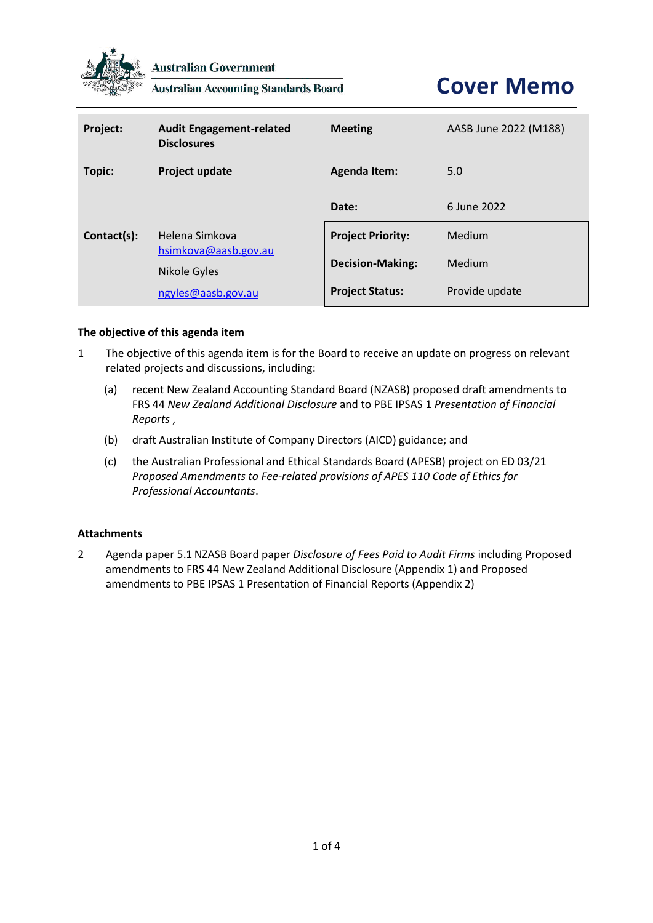

**Australian Government** 

**Australian Accounting Standards Board** 

**Cover Memo**

| Project:    | <b>Audit Engagement-related</b><br><b>Disclosures</b>  | <b>Meeting</b>           | AASB June 2022 (M188) |
|-------------|--------------------------------------------------------|--------------------------|-----------------------|
| Topic:      | Project update                                         | <b>Agenda Item:</b>      | 5.0                   |
|             |                                                        | Date:                    | 6 June 2022           |
| Contact(s): | Helena Simkova<br>hsimkova@aasb.gov.au<br>Nikole Gyles | <b>Project Priority:</b> | Medium                |
|             |                                                        | <b>Decision-Making:</b>  | Medium                |
|             | ngyles@aasb.gov.au                                     | <b>Project Status:</b>   | Provide update        |

## **The objective of this agenda item**

- 1 The objective of this agenda item is for the Board to receive an update on progress on relevant related projects and discussions, including:
	- (a) recent New Zealand Accounting Standard Board (NZASB) proposed draft amendments to FRS 44 *New Zealand Additional Disclosure* and to PBE IPSAS 1 *Presentation of Financial Reports* ,
	- (b) draft Australian Institute of Company Directors (AICD) guidance; and
	- (c) the Australian Professional and Ethical Standards Board (APESB) project on ED 03/21 *Proposed Amendments to Fee-related provisions of APES 110 Code of Ethics for Professional Accountants*.

#### **Attachments**

2 Agenda paper 5.1 NZASB Board paper *Disclosure of Fees Paid to Audit Firms* including Proposed amendments to FRS 44 New Zealand Additional Disclosure (Appendix 1) and Proposed amendments to PBE IPSAS 1 Presentation of Financial Reports (Appendix 2)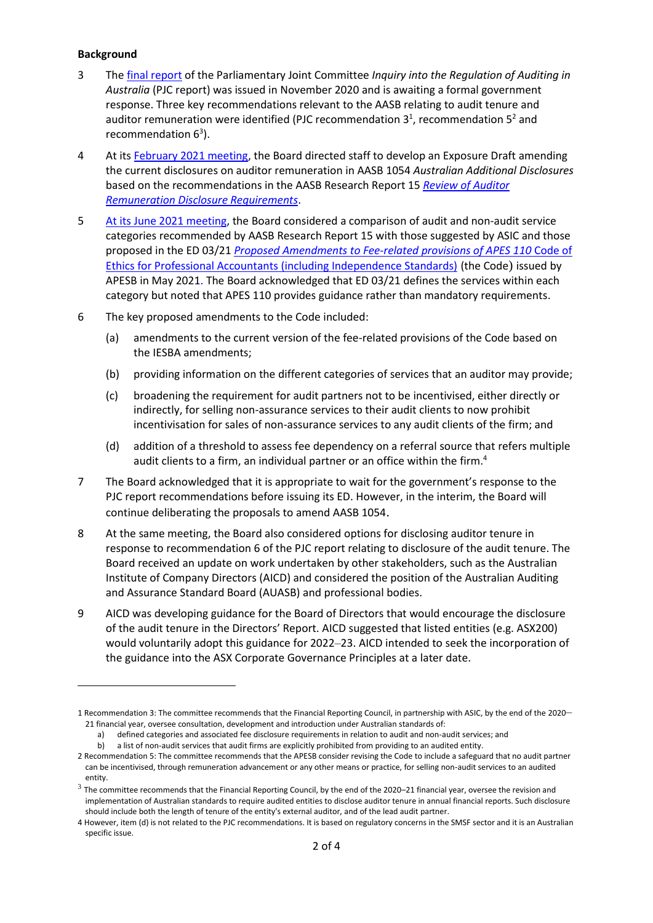## **Background**

- 3 Th[e final report](https://www.aph.gov.au/Parliamentary_Business/Committees/Joint/Corporations_and_Financial_Services/RegulationofAuditing/Interim_Report) of the Parliamentary Joint Committee *Inquiry into the Regulation of Auditing in Australia* (PJC report) was issued in November 2020 and is awaiting a formal government response. Three key recommendations relevant to the AASB relating to audit tenure and auditor remuneration were identified (PJC recommendation  $3^1$ , recommendation  $5^2$  and recommendation  $6^3$ ).
- 4 At its [February 2021 meeting,](https://www.aasb.gov.au/admin/file/content102/c3/AASBApprovedMinutesM179_24-25Feb21.pdf) the Board directed staff to develop an Exposure Draft amending the current disclosures on auditor remuneration in AASB 1054 *Australian Additional Disclosures* based on the recommendations in the AASB Research Report 15 *[Review of Auditor](https://www.aasb.gov.au/admin/file/content102/c3/RR15_AuditorDisclosureRequirements_02-21.pdf)  [Remuneration Disclosure Requirements](https://www.aasb.gov.au/admin/file/content102/c3/RR15_AuditorDisclosureRequirements_02-21.pdf)*.
- 5 [At its June](https://www.aasb.gov.au/media/bjajvtal/aasbapprovedminutesm181_4aug21.pdf) 2021 meeting, the Board considered a comparison of audit and non-audit service categories recommended by AASB Research Report 15 with those suggested by ASIC and those proposed in the ED 03/21 *[Proposed Amendments to Fee-related provisions of APES 110](https://apesb.org.au/wp-content/uploads/2021/05/ED_03_21_Fees_May_2021.pdf)* Code of [Ethics for Professional Accountants \(including Independence Standards\)](https://apesb.org.au/wp-content/uploads/2021/05/ED_03_21_Fees_May_2021.pdf) (the Code) issued by APESB in May 2021. The Board acknowledged that ED 03/21 defines the services within each category but noted that APES 110 provides guidance rather than mandatory requirements.
- 6 The key proposed amendments to the Code included:
	- (a) amendments to the current version of the fee-related provisions of the Code based on the IESBA amendments;
	- (b) providing information on the different categories of services that an auditor may provide;
	- (c) broadening the requirement for audit partners not to be incentivised, either directly or indirectly, for selling non-assurance services to their audit clients to now prohibit incentivisation for sales of non-assurance services to any audit clients of the firm; and
	- (d) addition of a threshold to assess fee dependency on a referral source that refers multiple audit clients to a firm, an individual partner or an office within the firm. 4
- 7 The Board acknowledged that it is appropriate to wait for the government's response to the PJC report recommendations before issuing its ED. However, in the interim, the Board will continue deliberating the proposals to amend AASB 1054.
- 8 At the same meeting, the Board also considered options for disclosing auditor tenure in response to recommendation 6 of the PJC report relating to disclosure of the audit tenure. The Board received an update on work undertaken by other stakeholders, such as the Australian Institute of Company Directors (AICD) and considered the position of the Australian Auditing and Assurance Standard Board (AUASB) and professional bodies.
- 9 AICD was developing guidance for the Board of Directors that would encourage the disclosure of the audit tenure in the Directors' Report. AICD suggested that listed entities (e.g. ASX200) would voluntarily adopt this guidance for 2022–23. AICD intended to seek the incorporation of the guidance into the ASX Corporate Governance Principles at a later date.

<sup>1</sup> Recommendation 3: The committee recommends that the Financial Reporting Council, in partnership with ASIC, by the end of the 2020– 21 financial year, oversee consultation, development and introduction under Australian standards of:

a) defined categories and associated fee disclosure requirements in relation to audit and non-audit services; and

b) a list of non-audit services that audit firms are explicitly prohibited from providing to an audited entity.

<sup>2</sup> Recommendation 5: The committee recommends that the APESB consider revising the Code to include a safeguard that no audit partner can be incentivised, through remuneration advancement or any other means or practice, for selling non-audit services to an audited entity.

 $^3$  The committee recommends that the Financial Reporting Council, by the end of the 2020–21 financial year, oversee the revision and implementation of Australian standards to require audited entities to disclose auditor tenure in annual financial reports. Such disclosure should include both the length of tenure of the entity's external auditor, and of the lead audit partner.

<sup>4</sup> However, item (d) is not related to the PJC recommendations. It is based on regulatory concerns in the SMSF sector and it is an Australian specific issue.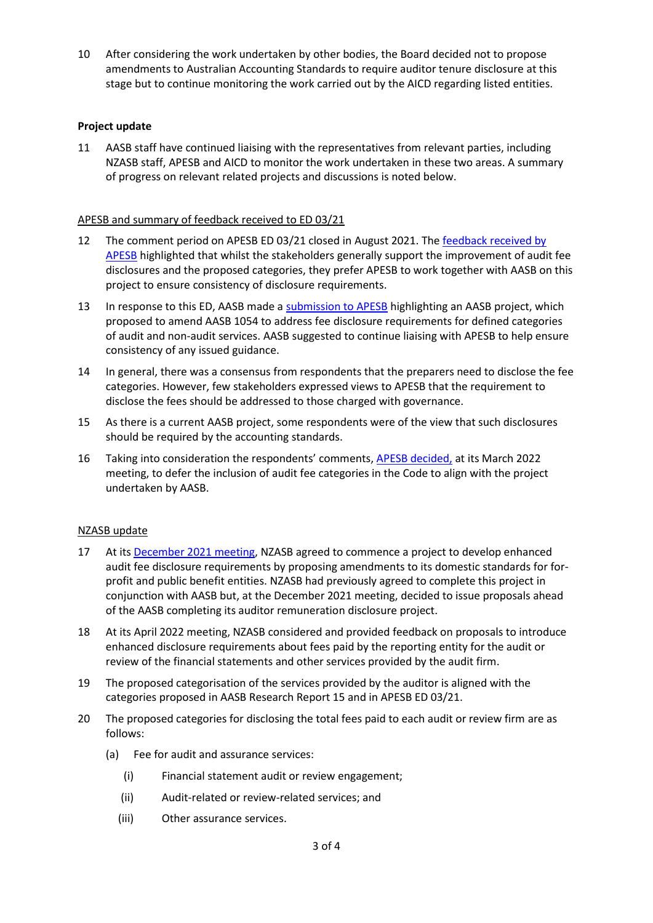10 After considering the work undertaken by other bodies, the Board decided not to propose amendments to Australian Accounting Standards to require auditor tenure disclosure at this stage but to continue monitoring the work carried out by the AICD regarding listed entities.

# **Project update**

11 AASB staff have continued liaising with the representatives from relevant parties, including NZASB staff, APESB and AICD to monitor the work undertaken in these two areas. A summary of progress on relevant related projects and discussions is noted below.

# APESB and summary of feedback received to ED 03/21

- 12 The comment period on APESB ED 03/21 closed in August 2021. The feedback received by [APESB](https://apesb.org.au/wp-content/uploads/2022/03/Agenda_Item_10_d_Specific-Comments_Table_ED_03_21.pdf) highlighted that whilst the stakeholders generally support the improvement of audit fee disclosures and the proposed categories, they prefer APESB to work together with AASB on this project to ensure consistency of disclosure requirements.
- 13 In response to this ED, AASB made [a submission to APESB](https://www.aasb.gov.au/media/vn3ht2wn/aasblettertoapesb_20210830.pdf) highlighting an AASB project, which proposed to amend AASB 1054 to address fee disclosure requirements for defined categories of audit and non-audit services. AASB suggested to continue liaising with APESB to help ensure consistency of any issued guidance.
- 14 In general, there was a consensus from respondents that the preparers need to disclose the fee categories. However, few stakeholders expressed views to APESB that the requirement to disclose the fees should be addressed to those charged with governance.
- 15 As there is a current AASB project, some respondents were of the view that such disclosures should be required by the accounting standards.
- 16 Taking into consideration the respondents' comments, **APESB decided**, at its March 2022 meeting, to defer the inclusion of audit fee categories in the Code to align with the project undertaken by AASB.

## NZASB update

- 17 At its [December](http://c/Users/hsimkova/Downloads/96%20NZASB%20Minutes%2016%20Dec%202021%20final%20website.pdf) 2021 meeting, NZASB agreed to commence a project to develop enhanced audit fee disclosure requirements by proposing amendments to its domestic standards for forprofit and public benefit entities. NZASB had previously agreed to complete this project in conjunction with AASB but, at the December 2021 meeting, decided to issue proposals ahead of the AASB completing its auditor remuneration disclosure project.
- 18 At its April 2022 meeting, NZASB considered and provided feedback on proposals to introduce enhanced disclosure requirements about fees paid by the reporting entity for the audit or review of the financial statements and other services provided by the audit firm.
- 19 The proposed categorisation of the services provided by the auditor is aligned with the categories proposed in AASB Research Report 15 and in APESB ED 03/21.
- 20 The proposed categories for disclosing the total fees paid to each audit or review firm are as follows:
	- (a) Fee for audit and assurance services:
		- (i) Financial statement audit or review engagement;
		- (ii) Audit-related or review-related services; and
		- (iii) Other assurance services.